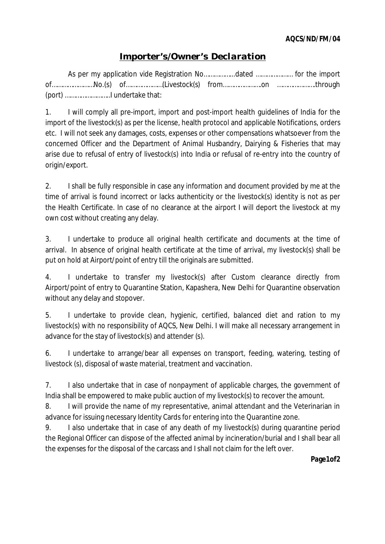## *Importer's/Owner's Declaration*

As per my application vide Registration No……………...dated ………………… for the import of……………………No.(s) of…………………(Livestock(s) from………………….on ………………….through (port) ……………………..I undertake that:

1. I will comply all pre-import, import and post-import health guidelines of India for the import of the livestock(s) as per the license, health protocol and applicable Notifications, orders etc. I will not seek any damages, costs, expenses or other compensations whatsoever from the concerned Officer and the Department of Animal Husbandry, Dairying & Fisheries that may arise due to refusal of entry of livestock(s) into India or refusal of re-entry into the country of origin/export.

2. I shall be fully responsible in case any information and document provided by me at the time of arrival is found incorrect or lacks authenticity or the livestock(s) identity is not as per the Health Certificate. In case of no clearance at the airport I will deport the livestock at my own cost without creating any delay.

3. I undertake to produce all original health certificate and documents at the time of arrival. In absence of original health certificate at the time of arrival, my livestock(s) shall be put on hold at Airport/point of entry till the originals are submitted.

4. I undertake to transfer my livestock(s) after Custom clearance directly from Airport/point of entry to Quarantine Station, Kapashera, New Delhi for Quarantine observation without any delay and stopover.

5. I undertake to provide clean, hygienic, certified, balanced diet and ration to my livestock(s) with no responsibility of AQCS, New Delhi. I will make all necessary arrangement in advance for the stay of livestock(s) and attender (s).

6. I undertake to arrange/bear all expenses on transport, feeding, watering, testing of livestock (s), disposal of waste material, treatment and vaccination.

7. I also undertake that in case of nonpayment of applicable charges, the government of India shall be empowered to make public auction of my livestock(s) to recover the amount.

8. I will provide the name of my representative, animal attendant and the Veterinarian in advance for issuing necessary Identity Cards for entering into the Quarantine zone.

9. I also undertake that in case of any death of my livestock(s) during quarantine period the Regional Officer can dispose of the affected animal by incineration/burial and I shall bear all the expenses for the disposal of the carcass and I shall not claim for the left over.

**Page1of2**